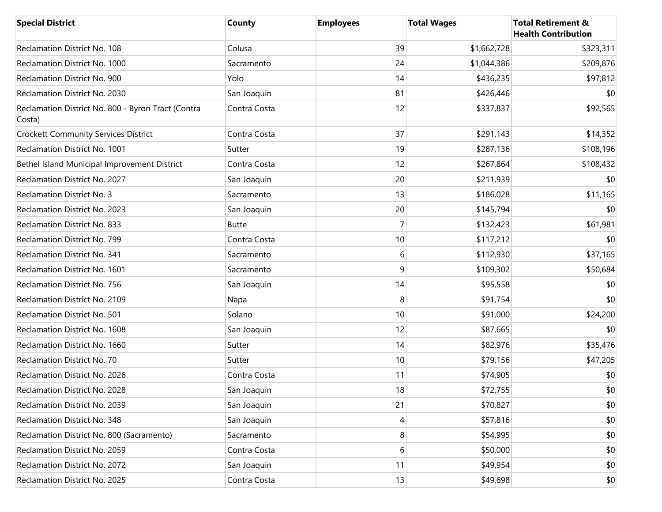| <b>Special District</b>                                      | <b>County</b> | <b>Employees</b> | <b>Total Wages</b> | <b>Total Retirement &amp;</b><br><b>Health Contribution</b> |
|--------------------------------------------------------------|---------------|------------------|--------------------|-------------------------------------------------------------|
| Reclamation District No. 108                                 | Colusa        | 39               | \$1,662,728        | \$323,311                                                   |
| Reclamation District No. 1000                                | Sacramento    | 24               | \$1,044,386        | \$209,876                                                   |
| Reclamation District No. 900                                 | Yolo          | 14               | \$436,235          | \$97,812                                                    |
| Reclamation District No. 2030                                | San Joaquin   | 81               | \$426,446          | \$0                                                         |
| Reclamation District No. 800 - Byron Tract (Contra<br>Costa) | Contra Costa  | 12               | \$337,837          | \$92,565                                                    |
| <b>Crockett Community Services District</b>                  | Contra Costa  | 37               | \$291,143          | \$14,352                                                    |
| Reclamation District No. 1001                                | Sutter        | 19               | \$287,136          | \$108,196                                                   |
| Bethel Island Municipal Improvement District                 | Contra Costa  | 12               | \$267,864          | \$108,432                                                   |
| Reclamation District No. 2027                                | San Joaquin   | 20               | \$211,939          | \$0                                                         |
| <b>Reclamation District No. 3</b>                            | Sacramento    | 13               | \$186,028          | \$11,165                                                    |
| Reclamation District No. 2023                                | San Joaquin   | 20               | \$145,794          | \$0                                                         |
| Reclamation District No. 833                                 | <b>Butte</b>  | 7                | \$132,423          | \$61,981                                                    |
| Reclamation District No. 799                                 | Contra Costa  | 10               | \$117,212          | \$0                                                         |
| Reclamation District No. 341                                 | Sacramento    | 6                | \$112,930          | \$37,165                                                    |
| Reclamation District No. 1601                                | Sacramento    | 9                | \$109,302          | \$50,684                                                    |
| Reclamation District No. 756                                 | San Joaquin   | 14               | \$95,558           | \$0                                                         |
| Reclamation District No. 2109                                | Napa          | 8                | \$91,754           | \$0                                                         |
| Reclamation District No. 501                                 | Solano        | 10               | \$91,000           | \$24,200                                                    |
| Reclamation District No. 1608                                | San Joaquin   | 12               | \$87,665           | \$0                                                         |
| Reclamation District No. 1660                                | Sutter        | 14               | \$82,976           | \$35,476                                                    |
| Reclamation District No. 70                                  | Sutter        | 10               | \$79,156           | \$47,205                                                    |
| Reclamation District No. 2026                                | Contra Costa  | 11               | \$74,905           | \$0                                                         |
| Reclamation District No. 2028                                | San Joaquin   | 18               | \$72,755           | \$0                                                         |
| Reclamation District No. 2039                                | San Joaquin   | 21               | \$70,827           | \$0                                                         |
| Reclamation District No. 348                                 | San Joaquin   | 4                | \$57,816           | \$0                                                         |
| Reclamation District No. 800 (Sacramento)                    | Sacramento    | 8                | \$54,995           | \$0                                                         |
| Reclamation District No. 2059                                | Contra Costa  | 6                | \$50,000           | \$0                                                         |
| Reclamation District No. 2072                                | San Joaquin   | 11               | \$49,954           | \$0                                                         |
| Reclamation District No. 2025                                | Contra Costa  | 13               | \$49,698           | \$0                                                         |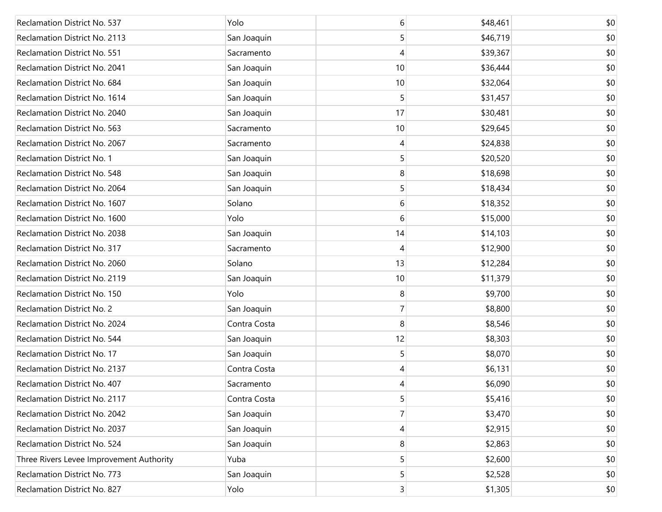| Reclamation District No. 537             | Yolo         | 6  | \$48,461 | \$0 |
|------------------------------------------|--------------|----|----------|-----|
| Reclamation District No. 2113            | San Joaquin  | 5  | \$46,719 | \$0 |
| Reclamation District No. 551             | Sacramento   | 4  | \$39,367 | \$0 |
| Reclamation District No. 2041            | San Joaquin  | 10 | \$36,444 | \$0 |
| Reclamation District No. 684             | San Joaquin  | 10 | \$32,064 | \$0 |
| Reclamation District No. 1614            | San Joaquin  | 5  | \$31,457 | \$0 |
| Reclamation District No. 2040            | San Joaquin  | 17 | \$30,481 | \$0 |
| Reclamation District No. 563             | Sacramento   | 10 | \$29,645 | \$0 |
| Reclamation District No. 2067            | Sacramento   | 4  | \$24,838 | \$0 |
| Reclamation District No. 1               | San Joaquin  | 5  | \$20,520 | \$0 |
| Reclamation District No. 548             | San Joaquin  | 8  | \$18,698 | \$0 |
| Reclamation District No. 2064            | San Joaquin  | 5  | \$18,434 | \$0 |
| Reclamation District No. 1607            | Solano       | 6  | \$18,352 | \$0 |
| Reclamation District No. 1600            | Yolo         | 6  | \$15,000 | \$0 |
| Reclamation District No. 2038            | San Joaquin  | 14 | \$14,103 | \$0 |
| Reclamation District No. 317             | Sacramento   | 4  | \$12,900 | \$0 |
| Reclamation District No. 2060            | Solano       | 13 | \$12,284 | \$0 |
| Reclamation District No. 2119            | San Joaquin  | 10 | \$11,379 | \$0 |
| Reclamation District No. 150             | Yolo         | 8  | \$9,700  | \$0 |
| <b>Reclamation District No. 2</b>        | San Joaquin  | 7  | \$8,800  | \$0 |
| Reclamation District No. 2024            | Contra Costa | 8  | \$8,546  | \$0 |
| Reclamation District No. 544             | San Joaquin  | 12 | \$8,303  | \$0 |
| Reclamation District No. 17              | San Joaquin  | 5  | \$8,070  | \$0 |
| Reclamation District No. 2137            | Contra Costa | 4  | \$6,131  | \$0 |
| Reclamation District No. 407             | Sacramento   | 4  | \$6,090  | \$0 |
| Reclamation District No. 2117            | Contra Costa | 5  | \$5,416  | \$0 |
| Reclamation District No. 2042            | San Joaquin  | 7  | \$3,470  | \$0 |
| Reclamation District No. 2037            | San Joaquin  | 4  | \$2,915  | \$0 |
| Reclamation District No. 524             | San Joaquin  | 8  | \$2,863  | \$0 |
| Three Rivers Levee Improvement Authority | Yuba         | 5  | \$2,600  | \$0 |
| Reclamation District No. 773             | San Joaquin  | 5  | \$2,528  | \$0 |
| Reclamation District No. 827             | Yolo         | 3  | \$1,305  | \$0 |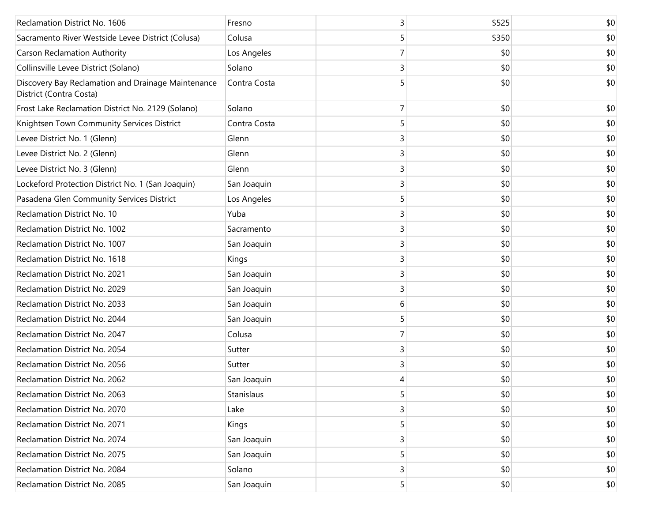| Reclamation District No. 1606                                                 | Fresno       | 3 | \$525 | \$0 |
|-------------------------------------------------------------------------------|--------------|---|-------|-----|
| Sacramento River Westside Levee District (Colusa)                             | Colusa       | 5 | \$350 | \$0 |
| <b>Carson Reclamation Authority</b>                                           | Los Angeles  | 7 | \$0   | \$0 |
| Collinsville Levee District (Solano)                                          | Solano       | 3 | \$0   | \$0 |
| Discovery Bay Reclamation and Drainage Maintenance<br>District (Contra Costa) | Contra Costa | 5 | \$0   | \$0 |
| Frost Lake Reclamation District No. 2129 (Solano)                             | Solano       | 7 | \$0   | \$0 |
| Knightsen Town Community Services District                                    | Contra Costa | 5 | \$0   | \$0 |
| Levee District No. 1 (Glenn)                                                  | Glenn        | 3 | \$0   | \$0 |
| Levee District No. 2 (Glenn)                                                  | Glenn        | 3 | \$0   | \$0 |
| Levee District No. 3 (Glenn)                                                  | Glenn        | 3 | \$0   | \$0 |
| Lockeford Protection District No. 1 (San Joaquin)                             | San Joaquin  | 3 | \$0   | \$0 |
| Pasadena Glen Community Services District                                     | Los Angeles  | 5 | \$0   | \$0 |
| Reclamation District No. 10                                                   | Yuba         | 3 | \$0   | \$0 |
| Reclamation District No. 1002                                                 | Sacramento   | 3 | \$0   | \$0 |
| Reclamation District No. 1007                                                 | San Joaquin  | 3 | \$0   | \$0 |
| Reclamation District No. 1618                                                 | Kings        | 3 | \$0   | \$0 |
| Reclamation District No. 2021                                                 | San Joaquin  | 3 | \$0   | \$0 |
| Reclamation District No. 2029                                                 | San Joaquin  | 3 | \$0   | \$0 |
| Reclamation District No. 2033                                                 | San Joaquin  | 6 | \$0   | \$0 |
| Reclamation District No. 2044                                                 | San Joaquin  | 5 | \$0   | \$0 |
| Reclamation District No. 2047                                                 | Colusa       | 7 | \$0   | \$0 |
| Reclamation District No. 2054                                                 | Sutter       | 3 | \$0   | \$0 |
| Reclamation District No. 2056                                                 | Sutter       | 3 | \$0   | \$0 |
| Reclamation District No. 2062                                                 | San Joaquin  | 4 | \$0   | \$0 |
| Reclamation District No. 2063                                                 | Stanislaus   | 5 | \$0   | \$0 |
| Reclamation District No. 2070                                                 | Lake         | 3 | \$0   | \$0 |
| Reclamation District No. 2071                                                 | Kings        | 5 | \$0   | \$0 |
| Reclamation District No. 2074                                                 | San Joaquin  | 3 | \$0   | \$0 |
| Reclamation District No. 2075                                                 | San Joaquin  | 5 | \$0   | \$0 |
| Reclamation District No. 2084                                                 | Solano       | 3 | \$0   | \$0 |
| Reclamation District No. 2085                                                 | San Joaquin  | 5 | \$0   | \$0 |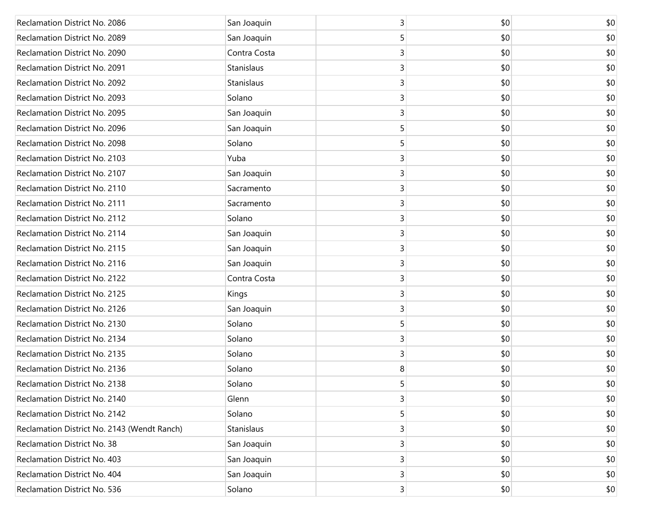| Reclamation District No. 2086               | San Joaquin  | 3              | \$0 | \$0 |
|---------------------------------------------|--------------|----------------|-----|-----|
| Reclamation District No. 2089               | San Joaquin  | 5              | \$0 | \$0 |
| Reclamation District No. 2090               | Contra Costa | 3              | \$0 | \$0 |
| Reclamation District No. 2091               | Stanislaus   | 3              | \$0 | \$0 |
| Reclamation District No. 2092               | Stanislaus   | 3              | \$0 | \$0 |
| Reclamation District No. 2093               | Solano       | 3              | \$0 | \$0 |
| Reclamation District No. 2095               | San Joaquin  | 3              | \$0 | \$0 |
| Reclamation District No. 2096               | San Joaquin  | 5              | \$0 | \$0 |
| Reclamation District No. 2098               | Solano       | 5              | \$0 | \$0 |
| Reclamation District No. 2103               | Yuba         | 3              | \$0 | \$0 |
| Reclamation District No. 2107               | San Joaquin  | 3              | \$0 | \$0 |
| Reclamation District No. 2110               | Sacramento   | 3              | \$0 | \$0 |
| Reclamation District No. 2111               | Sacramento   | 3              | \$0 | \$0 |
| Reclamation District No. 2112               | Solano       | 3              | \$0 | \$0 |
| Reclamation District No. 2114               | San Joaquin  | 3              | \$0 | \$0 |
| Reclamation District No. 2115               | San Joaquin  | 3              | \$0 | \$0 |
| Reclamation District No. 2116               | San Joaquin  | 3              | \$0 | \$0 |
| Reclamation District No. 2122               | Contra Costa | 3              | \$0 | \$0 |
| Reclamation District No. 2125               | Kings        | 3              | \$0 | \$0 |
| Reclamation District No. 2126               | San Joaquin  | 3              | \$0 | \$0 |
| Reclamation District No. 2130               | Solano       | 5              | \$0 | \$0 |
| Reclamation District No. 2134               | Solano       | 3              | \$0 | \$0 |
| Reclamation District No. 2135               | Solano       | 3              | \$0 | \$0 |
| Reclamation District No. 2136               | Solano       | 8              | \$0 | \$0 |
| Reclamation District No. 2138               | Solano       | 5              | \$0 | \$0 |
| Reclamation District No. 2140               | Glenn        | 3              | \$0 | \$0 |
| Reclamation District No. 2142               | Solano       | 5              | \$0 | \$0 |
| Reclamation District No. 2143 (Wendt Ranch) | Stanislaus   | 3              | \$0 | \$0 |
| Reclamation District No. 38                 | San Joaquin  | 3              | \$0 | \$0 |
| Reclamation District No. 403                | San Joaquin  | 3              | \$0 | \$0 |
| Reclamation District No. 404                | San Joaquin  | 3              | \$0 | \$0 |
| Reclamation District No. 536                | Solano       | $\overline{3}$ | \$0 | \$0 |